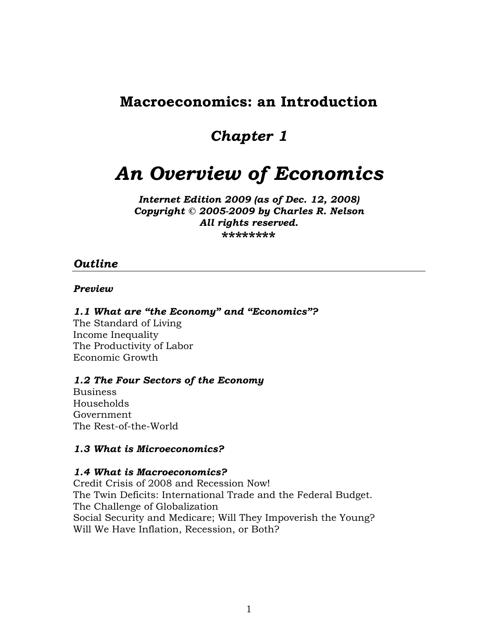# **Macroeconomics: an Introduction**

# *Chapter 1*

# *An Overview of Economics*

*Internet Edition 2009 (as of Dec. 12, 2008) Copyright © 2005-2009 by Charles R. Nelson All rights reserved.*  **\*\*\*\*\*\*\*\*** 

# *Outline*

### *Preview*

# *1.1 What are "the Economy" and "Economics"?*

The Standard of Living Income Inequality The Productivity of Labor Economic Growth

#### *1.2 The Four Sectors of the Economy*

Business Households Government The Rest-of-the-World

# *1.3 What is Microeconomics?*

#### *1.4 What is Macroeconomics?*

Credit Crisis of 2008 and Recession Now! The Twin Deficits: International Trade and the Federal Budget. The Challenge of Globalization Social Security and Medicare; Will They Impoverish the Young? Will We Have Inflation, Recession, or Both?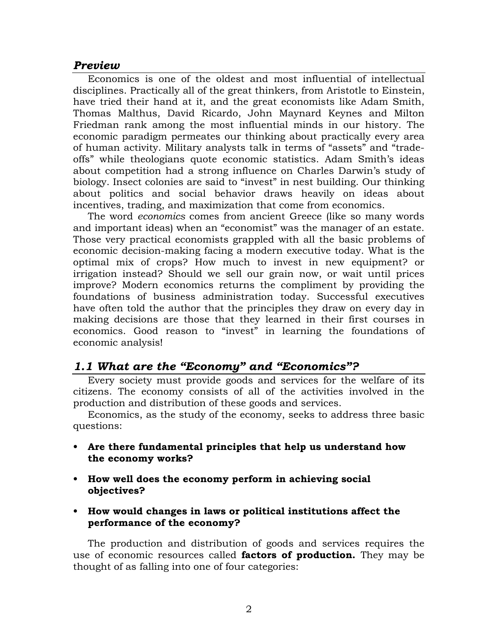# *Preview*

Economics is one of the oldest and most influential of intellectual disciplines. Practically all of the great thinkers, from Aristotle to Einstein, have tried their hand at it, and the great economists like Adam Smith, Thomas Malthus, David Ricardo, John Maynard Keynes and Milton Friedman rank among the most influential minds in our history. The economic paradigm permeates our thinking about practically every area of human activity. Military analysts talk in terms of "assets" and "tradeoffs" while theologians quote economic statistics. Adam Smith's ideas about competition had a strong influence on Charles Darwin's study of biology. Insect colonies are said to "invest" in nest building. Our thinking about politics and social behavior draws heavily on ideas about incentives, trading, and maximization that come from economics.

The word *economics* comes from ancient Greece (like so many words and important ideas) when an "economist" was the manager of an estate. Those very practical economists grappled with all the basic problems of economic decision-making facing a modern executive today. What is the optimal mix of crops? How much to invest in new equipment? or irrigation instead? Should we sell our grain now, or wait until prices improve? Modern economics returns the compliment by providing the foundations of business administration today. Successful executives have often told the author that the principles they draw on every day in making decisions are those that they learned in their first courses in economics. Good reason to "invest" in learning the foundations of economic analysis!

# *1.1 What are the "Economy" and "Economics"?*

Every society must provide goods and services for the welfare of its citizens. The economy consists of all of the activities involved in the production and distribution of these goods and services.

Economics, as the study of the economy, seeks to address three basic questions:

- **Are there fundamental principles that help us understand how the economy works?**
- **How well does the economy perform in achieving social objectives?**
- **How would changes in laws or political institutions affect the performance of the economy?**

The production and distribution of goods and services requires the use of economic resources called **factors of production.** They may be thought of as falling into one of four categories: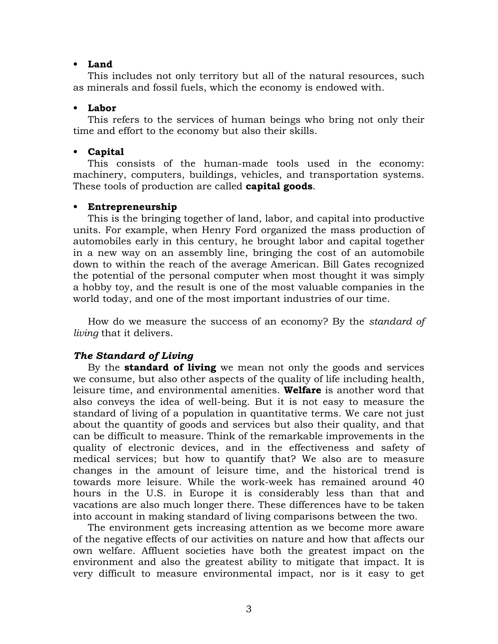#### **• Land**

This includes not only territory but all of the natural resources, such as minerals and fossil fuels, which the economy is endowed with.

#### **• Labor**

This refers to the services of human beings who bring not only their time and effort to the economy but also their skills.

#### **• Capital**

This consists of the human-made tools used in the economy: machinery, computers, buildings, vehicles, and transportation systems. These tools of production are called **capital goods**.

#### **• Entrepreneurship**

This is the bringing together of land, labor, and capital into productive units. For example, when Henry Ford organized the mass production of automobiles early in this century, he brought labor and capital together in a new way on an assembly line, bringing the cost of an automobile down to within the reach of the average American. Bill Gates recognized the potential of the personal computer when most thought it was simply a hobby toy, and the result is one of the most valuable companies in the world today, and one of the most important industries of our time.

How do we measure the success of an economy? By the *standard of living* that it delivers.

#### *The Standard of Living*

By the **standard of living** we mean not only the goods and services we consume, but also other aspects of the quality of life including health, leisure time, and environmental amenities. **Welfare** is another word that also conveys the idea of well-being. But it is not easy to measure the standard of living of a population in quantitative terms. We care not just about the quantity of goods and services but also their quality, and that can be difficult to measure. Think of the remarkable improvements in the quality of electronic devices, and in the effectiveness and safety of medical services; but how to quantify that? We also are to measure changes in the amount of leisure time, and the historical trend is towards more leisure. While the work-week has remained around 40 hours in the U.S. in Europe it is considerably less than that and vacations are also much longer there. These differences have to be taken into account in making standard of living comparisons between the two.

The environment gets increasing attention as we become more aware of the negative effects of our activities on nature and how that affects our own welfare. Affluent societies have both the greatest impact on the environment and also the greatest ability to mitigate that impact. It is very difficult to measure environmental impact, nor is it easy to get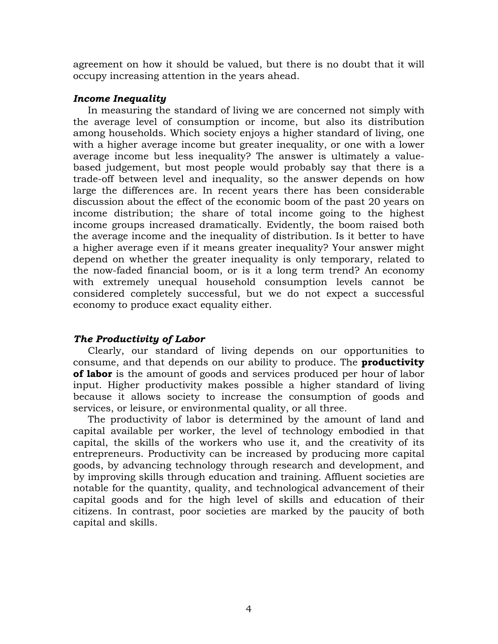agreement on how it should be valued, but there is no doubt that it will occupy increasing attention in the years ahead.

## *Income Inequality*

In measuring the standard of living we are concerned not simply with the average level of consumption or income, but also its distribution among households. Which society enjoys a higher standard of living, one with a higher average income but greater inequality, or one with a lower average income but less inequality? The answer is ultimately a valuebased judgement, but most people would probably say that there is a trade-off between level and inequality, so the answer depends on how large the differences are. In recent years there has been considerable discussion about the effect of the economic boom of the past 20 years on income distribution; the share of total income going to the highest income groups increased dramatically. Evidently, the boom raised both the average income and the inequality of distribution. Is it better to have a higher average even if it means greater inequality? Your answer might depend on whether the greater inequality is only temporary, related to the now-faded financial boom, or is it a long term trend? An economy with extremely unequal household consumption levels cannot be considered completely successful, but we do not expect a successful economy to produce exact equality either.

# *The Productivity of Labor*

Clearly, our standard of living depends on our opportunities to consume, and that depends on our ability to produce. The **productivity of labor** is the amount of goods and services produced per hour of labor input. Higher productivity makes possible a higher standard of living because it allows society to increase the consumption of goods and services, or leisure, or environmental quality, or all three.

The productivity of labor is determined by the amount of land and capital available per worker, the level of technology embodied in that capital, the skills of the workers who use it, and the creativity of its entrepreneurs. Productivity can be increased by producing more capital goods, by advancing technology through research and development, and by improving skills through education and training. Affluent societies are notable for the quantity, quality, and technological advancement of their capital goods and for the high level of skills and education of their citizens. In contrast, poor societies are marked by the paucity of both capital and skills.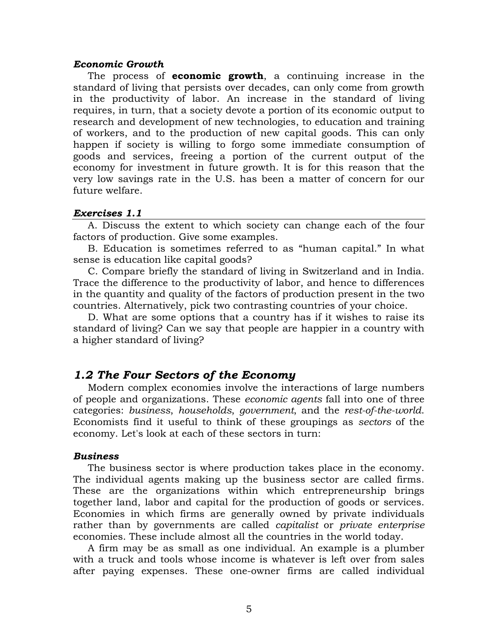#### *Economic Growth*

The process of **economic growth**, a continuing increase in the standard of living that persists over decades, can only come from growth in the productivity of labor. An increase in the standard of living requires, in turn, that a society devote a portion of its economic output to research and development of new technologies, to education and training of workers, and to the production of new capital goods. This can only happen if society is willing to forgo some immediate consumption of goods and services, freeing a portion of the current output of the economy for investment in future growth. It is for this reason that the very low savings rate in the U.S. has been a matter of concern for our future welfare.

#### *Exercises 1.1*

A. Discuss the extent to which society can change each of the four factors of production. Give some examples.

B. Education is sometimes referred to as "human capital." In what sense is education like capital goods?

C. Compare briefly the standard of living in Switzerland and in India. Trace the difference to the productivity of labor, and hence to differences in the quantity and quality of the factors of production present in the two countries. Alternatively, pick two contrasting countries of your choice.

D. What are some options that a country has if it wishes to raise its standard of living? Can we say that people are happier in a country with a higher standard of living?

# *1.2 The Four Sectors of the Economy*

Modern complex economies involve the interactions of large numbers of people and organizations. These *economic agents* fall into one of three categories: *business*, *households*, *government*, and the *rest-of-the-world*. Economists find it useful to think of these groupings as *sectors* of the economy. Let's look at each of these sectors in turn:

#### *Business*

The business sector is where production takes place in the economy. The individual agents making up the business sector are called firms. These are the organizations within which entrepreneurship brings together land, labor and capital for the production of goods or services. Economies in which firms are generally owned by private individuals rather than by governments are called *capitalist* or *private enterprise* economies. These include almost all the countries in the world today.

A firm may be as small as one individual. An example is a plumber with a truck and tools whose income is whatever is left over from sales after paying expenses. These one-owner firms are called individual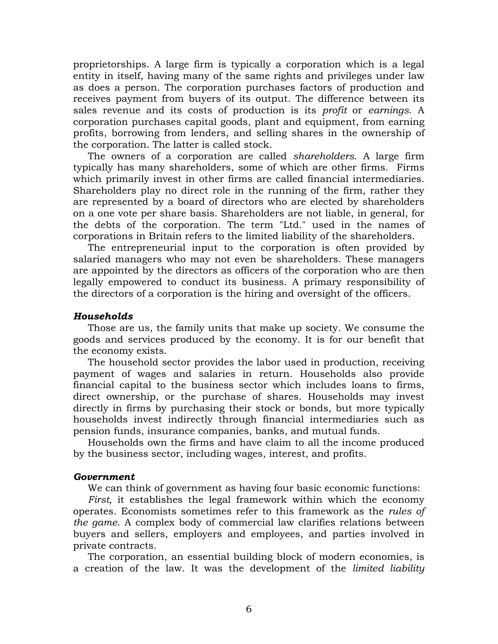proprietorships. A large firm is typically a corporation which is a legal entity in itself, having many of the same rights and privileges under law as does a person. The corporation purchases factors of production and receives payment from buyers of its output. The difference between its sales revenue and its costs of production is its *profit* or *earnings*. A corporation purchases capital goods, plant and equipment, from earning profits, borrowing from lenders, and selling shares in the ownership of the corporation. The latter is called stock.

The owners of a corporation are called *shareholders*. A large firm typically has many shareholders, some of which are other firms. Firms which primarily invest in other firms are called financial intermediaries. Shareholders play no direct role in the running of the firm, rather they are represented by a board of directors who are elected by shareholders on a one vote per share basis. Shareholders are not liable, in general, for the debts of the corporation. The term "Ltd." used in the names of corporations in Britain refers to the limited liability of the shareholders.

The entrepreneurial input to the corporation is often provided by salaried managers who may not even be shareholders. These managers are appointed by the directors as officers of the corporation who are then legally empowered to conduct its business. A primary responsibility of the directors of a corporation is the hiring and oversight of the officers.

#### *Households*

Those are us, the family units that make up society. We consume the goods and services produced by the economy. It is for our benefit that the economy exists.

The household sector provides the labor used in production, receiving payment of wages and salaries in return. Households also provide financial capital to the business sector which includes loans to firms, direct ownership, or the purchase of shares. Households may invest directly in firms by purchasing their stock or bonds, but more typically households invest indirectly through financial intermediaries such as pension funds, insurance companies, banks, and mutual funds.

Households own the firms and have claim to all the income produced by the business sector, including wages, interest, and profits.

#### *Government*

We can think of government as having four basic economic functions:

*First*, it establishes the legal framework within which the economy operates. Economists sometimes refer to this framework as the *rules of the game*. A complex body of commercial law clarifies relations between buyers and sellers, employers and employees, and parties involved in private contracts.

The corporation, an essential building block of modern economies, is a creation of the law. It was the development of the *limited liability*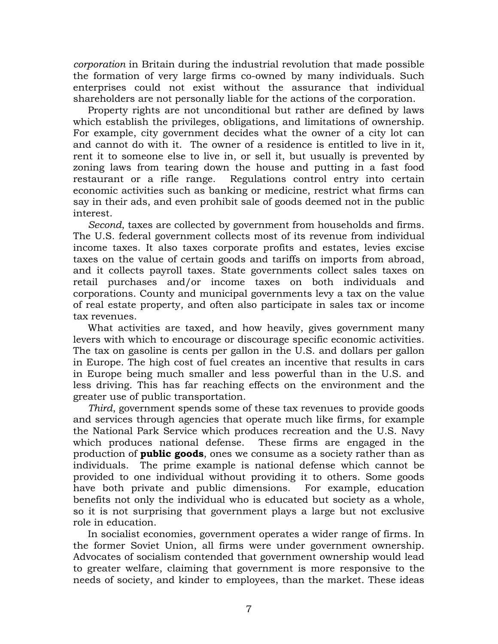*corporation* in Britain during the industrial revolution that made possible the formation of very large firms co-owned by many individuals. Such enterprises could not exist without the assurance that individual shareholders are not personally liable for the actions of the corporation.

Property rights are not unconditional but rather are defined by laws which establish the privileges, obligations, and limitations of ownership. For example, city government decides what the owner of a city lot can and cannot do with it. The owner of a residence is entitled to live in it, rent it to someone else to live in, or sell it, but usually is prevented by zoning laws from tearing down the house and putting in a fast food restaurant or a rifle range. Regulations control entry into certain economic activities such as banking or medicine, restrict what firms can say in their ads, and even prohibit sale of goods deemed not in the public interest.

*Second*, taxes are collected by government from households and firms. The U.S. federal government collects most of its revenue from individual income taxes. It also taxes corporate profits and estates, levies excise taxes on the value of certain goods and tariffs on imports from abroad, and it collects payroll taxes. State governments collect sales taxes on retail purchases and/or income taxes on both individuals and corporations. County and municipal governments levy a tax on the value of real estate property, and often also participate in sales tax or income tax revenues.

What activities are taxed, and how heavily, gives government many levers with which to encourage or discourage specific economic activities. The tax on gasoline is cents per gallon in the U.S. and dollars per gallon in Europe. The high cost of fuel creates an incentive that results in cars in Europe being much smaller and less powerful than in the U.S. and less driving. This has far reaching effects on the environment and the greater use of public transportation.

*Third*, government spends some of these tax revenues to provide goods and services through agencies that operate much like firms, for example the National Park Service which produces recreation and the U.S. Navy which produces national defense. These firms are engaged in the production of **public goods**, ones we consume as a society rather than as individuals. The prime example is national defense which cannot be provided to one individual without providing it to others. Some goods have both private and public dimensions. For example, education benefits not only the individual who is educated but society as a whole, so it is not surprising that government plays a large but not exclusive role in education.

In socialist economies, government operates a wider range of firms. In the former Soviet Union, all firms were under government ownership. Advocates of socialism contended that government ownership would lead to greater welfare, claiming that government is more responsive to the needs of society, and kinder to employees, than the market. These ideas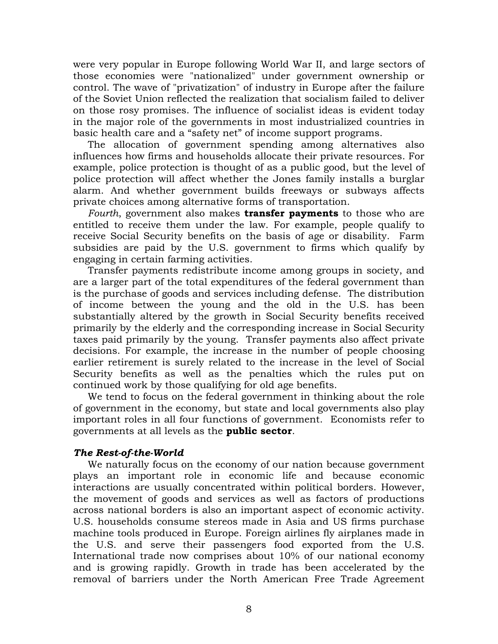were very popular in Europe following World War II, and large sectors of those economies were "nationalized" under government ownership or control. The wave of "privatization" of industry in Europe after the failure of the Soviet Union reflected the realization that socialism failed to deliver on those rosy promises. The influence of socialist ideas is evident today in the major role of the governments in most industrialized countries in basic health care and a "safety net" of income support programs.

The allocation of government spending among alternatives also influences how firms and households allocate their private resources. For example, police protection is thought of as a public good, but the level of police protection will affect whether the Jones family installs a burglar alarm. And whether government builds freeways or subways affects private choices among alternative forms of transportation.

*Fourth*, government also makes **transfer payments** to those who are entitled to receive them under the law. For example, people qualify to receive Social Security benefits on the basis of age or disability. Farm subsidies are paid by the U.S. government to firms which qualify by engaging in certain farming activities.

Transfer payments redistribute income among groups in society, and are a larger part of the total expenditures of the federal government than is the purchase of goods and services including defense. The distribution of income between the young and the old in the U.S. has been substantially altered by the growth in Social Security benefits received primarily by the elderly and the corresponding increase in Social Security taxes paid primarily by the young. Transfer payments also affect private decisions. For example, the increase in the number of people choosing earlier retirement is surely related to the increase in the level of Social Security benefits as well as the penalties which the rules put on continued work by those qualifying for old age benefits.

We tend to focus on the federal government in thinking about the role of government in the economy, but state and local governments also play important roles in all four functions of government. Economists refer to governments at all levels as the **public sector**.

# *The Rest-of-the-World*

We naturally focus on the economy of our nation because government plays an important role in economic life and because economic interactions are usually concentrated within political borders. However, the movement of goods and services as well as factors of productions across national borders is also an important aspect of economic activity. U.S. households consume stereos made in Asia and US firms purchase machine tools produced in Europe. Foreign airlines fly airplanes made in the U.S. and serve their passengers food exported from the U.S. International trade now comprises about 10% of our national economy and is growing rapidly. Growth in trade has been accelerated by the removal of barriers under the North American Free Trade Agreement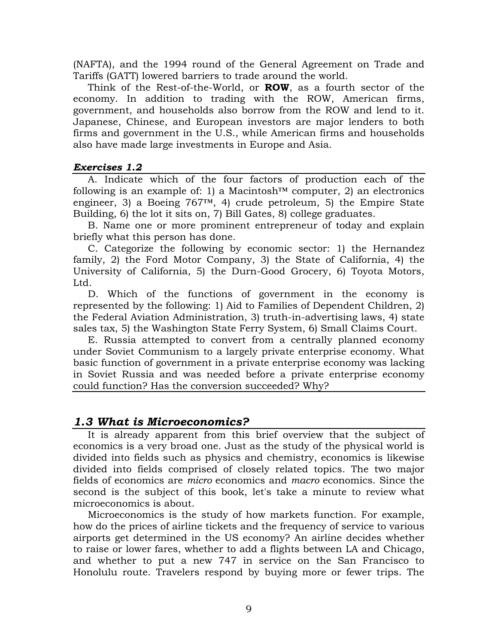(NAFTA), and the 1994 round of the General Agreement on Trade and Tariffs (GATT) lowered barriers to trade around the world.

Think of the Rest-of-the-World, or **ROW**, as a fourth sector of the economy. In addition to trading with the ROW, American firms, government, and households also borrow from the ROW and lend to it. Japanese, Chinese, and European investors are major lenders to both firms and government in the U.S., while American firms and households also have made large investments in Europe and Asia.

#### *Exercises 1.2*

A. Indicate which of the four factors of production each of the following is an example of: 1) a Macintosh<sup> $TM$ </sup> computer, 2) an electronics engineer, 3) a Boeing 767™, 4) crude petroleum, 5) the Empire State Building, 6) the lot it sits on, 7) Bill Gates, 8) college graduates.

B. Name one or more prominent entrepreneur of today and explain briefly what this person has done.

C. Categorize the following by economic sector: 1) the Hernandez family, 2) the Ford Motor Company, 3) the State of California, 4) the University of California, 5) the Durn-Good Grocery, 6) Toyota Motors, Ltd.

D. Which of the functions of government in the economy is represented by the following: 1) Aid to Families of Dependent Children, 2) the Federal Aviation Administration, 3) truth-in-advertising laws, 4) state sales tax, 5) the Washington State Ferry System, 6) Small Claims Court.

E. Russia attempted to convert from a centrally planned economy under Soviet Communism to a largely private enterprise economy. What basic function of government in a private enterprise economy was lacking in Soviet Russia and was needed before a private enterprise economy could function? Has the conversion succeeded? Why?

# *1.3 What is Microeconomics?*

It is already apparent from this brief overview that the subject of economics is a very broad one. Just as the study of the physical world is divided into fields such as physics and chemistry, economics is likewise divided into fields comprised of closely related topics. The two major fields of economics are *micro* economics and *macro* economics. Since the second is the subject of this book, let's take a minute to review what microeconomics is about.

Microeconomics is the study of how markets function. For example, how do the prices of airline tickets and the frequency of service to various airports get determined in the US economy? An airline decides whether to raise or lower fares, whether to add a flights between LA and Chicago, and whether to put a new 747 in service on the San Francisco to Honolulu route. Travelers respond by buying more or fewer trips. The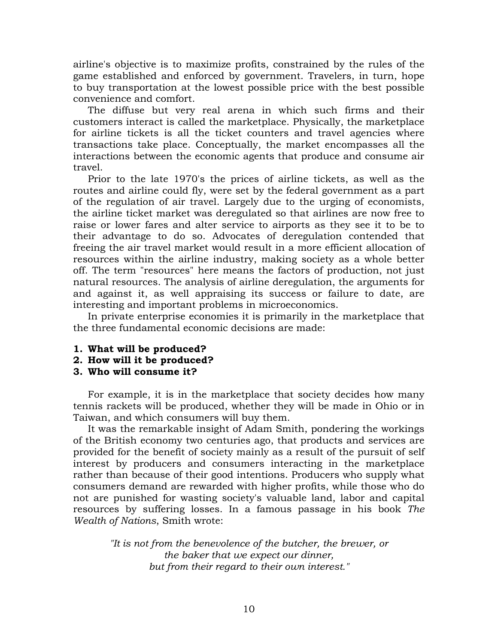airline's objective is to maximize profits, constrained by the rules of the game established and enforced by government. Travelers, in turn, hope to buy transportation at the lowest possible price with the best possible convenience and comfort.

The diffuse but very real arena in which such firms and their customers interact is called the marketplace. Physically, the marketplace for airline tickets is all the ticket counters and travel agencies where transactions take place. Conceptually, the market encompasses all the interactions between the economic agents that produce and consume air travel.

Prior to the late 1970's the prices of airline tickets, as well as the routes and airline could fly, were set by the federal government as a part of the regulation of air travel. Largely due to the urging of economists, the airline ticket market was deregulated so that airlines are now free to raise or lower fares and alter service to airports as they see it to be to their advantage to do so. Advocates of deregulation contended that freeing the air travel market would result in a more efficient allocation of resources within the airline industry, making society as a whole better off. The term "resources" here means the factors of production, not just natural resources. The analysis of airline deregulation, the arguments for and against it, as well appraising its success or failure to date, are interesting and important problems in microeconomics.

In private enterprise economies it is primarily in the marketplace that the three fundamental economic decisions are made:

- **1. What will be produced?**
- **2. How will it be produced?**
- **3. Who will consume it?**

For example, it is in the marketplace that society decides how many tennis rackets will be produced, whether they will be made in Ohio or in Taiwan, and which consumers will buy them.

It was the remarkable insight of Adam Smith, pondering the workings of the British economy two centuries ago, that products and services are provided for the benefit of society mainly as a result of the pursuit of self interest by producers and consumers interacting in the marketplace rather than because of their good intentions. Producers who supply what consumers demand are rewarded with higher profits, while those who do not are punished for wasting society's valuable land, labor and capital resources by suffering losses. In a famous passage in his book *The Wealth of Nations*, Smith wrote:

> *"It is not from the benevolence of the butcher, the brewer, or the baker that we expect our dinner, but from their regard to their own interest."*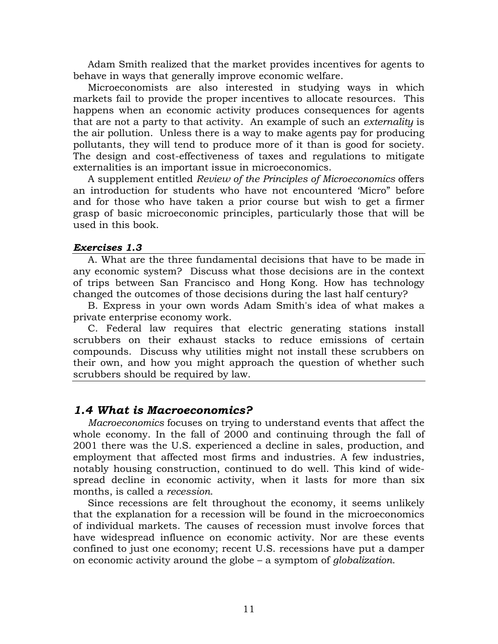Adam Smith realized that the market provides incentives for agents to behave in ways that generally improve economic welfare.

Microeconomists are also interested in studying ways in which markets fail to provide the proper incentives to allocate resources. This happens when an economic activity produces consequences for agents that are not a party to that activity. An example of such an *externality* is the air pollution. Unless there is a way to make agents pay for producing pollutants, they will tend to produce more of it than is good for society. The design and cost-effectiveness of taxes and regulations to mitigate externalities is an important issue in microeconomics.

A supplement entitled *Review of the Principles of Microeconomics* offers an introduction for students who have not encountered 'Micro" before and for those who have taken a prior course but wish to get a firmer grasp of basic microeconomic principles, particularly those that will be used in this book.

#### *Exercises 1.3*

A. What are the three fundamental decisions that have to be made in any economic system? Discuss what those decisions are in the context of trips between San Francisco and Hong Kong. How has technology changed the outcomes of those decisions during the last half century?

B. Express in your own words Adam Smith's idea of what makes a private enterprise economy work.

C. Federal law requires that electric generating stations install scrubbers on their exhaust stacks to reduce emissions of certain compounds. Discuss why utilities might not install these scrubbers on their own, and how you might approach the question of whether such scrubbers should be required by law.

# *1.4 What is Macroeconomics?*

*Macroeconomics* focuses on trying to understand events that affect the whole economy. In the fall of 2000 and continuing through the fall of 2001 there was the U.S. experienced a decline in sales, production, and employment that affected most firms and industries. A few industries, notably housing construction, continued to do well. This kind of widespread decline in economic activity, when it lasts for more than six months, is called a *recession*.

Since recessions are felt throughout the economy, it seems unlikely that the explanation for a recession will be found in the microeconomics of individual markets. The causes of recession must involve forces that have widespread influence on economic activity. Nor are these events confined to just one economy; recent U.S. recessions have put a damper on economic activity around the globe – a symptom of *globalization*.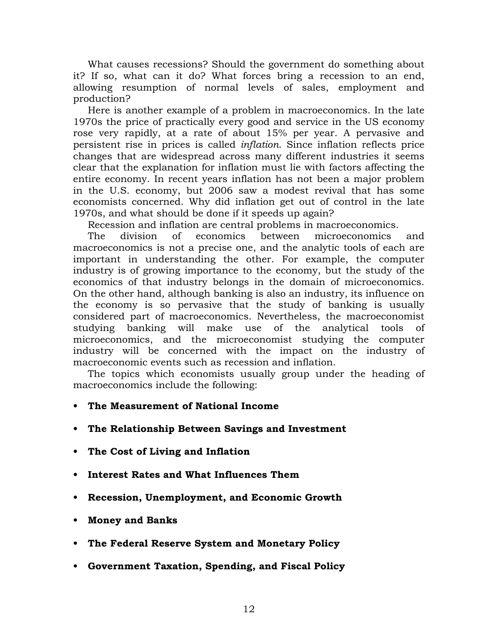What causes recessions? Should the government do something about it? If so, what can it do? What forces bring a recession to an end, allowing resumption of normal levels of sales, employment and production?

Here is another example of a problem in macroeconomics. In the late 1970s the price of practically every good and service in the US economy rose very rapidly, at a rate of about 15% per year. A pervasive and persistent rise in prices is called *inflation*. Since inflation reflects price changes that are widespread across many different industries it seems clear that the explanation for inflation must lie with factors affecting the entire economy. In recent years inflation has not been a major problem in the U.S. economy, but 2006 saw a modest revival that has some economists concerned. Why did inflation get out of control in the late 1970s, and what should be done if it speeds up again?

Recession and inflation are central problems in macroeconomics.

The division of economics between microeconomics and macroeconomics is not a precise one, and the analytic tools of each are important in understanding the other. For example, the computer industry is of growing importance to the economy, but the study of the economics of that industry belongs in the domain of microeconomics. On the other hand, although banking is also an industry, its influence on the economy is so pervasive that the study of banking is usually considered part of macroeconomics. Nevertheless, the macroeconomist studying banking will make use of the analytical tools of microeconomics, and the microeconomist studying the computer industry will be concerned with the impact on the industry of macroeconomic events such as recession and inflation.

The topics which economists usually group under the heading of macroeconomics include the following:

- **The Measurement of National Income**
- **The Relationship Between Savings and Investment**
- **The Cost of Living and Inflation**
- **Interest Rates and What Influences Them**
- **Recession, Unemployment, and Economic Growth**
- **Money and Banks**
- **The Federal Reserve System and Monetary Policy**
- **Government Taxation, Spending, and Fiscal Policy**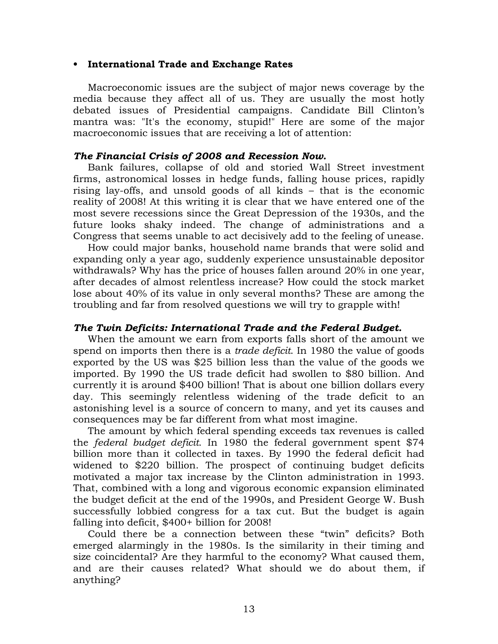#### **• International Trade and Exchange Rates**

Macroeconomic issues are the subject of major news coverage by the media because they affect all of us. They are usually the most hotly debated issues of Presidential campaigns. Candidate Bill Clinton's mantra was: "It's the economy, stupid!" Here are some of the major macroeconomic issues that are receiving a lot of attention:

### *The Financial Crisis of 2008 and Recession Now.*

Bank failures, collapse of old and storied Wall Street investment firms, astronomical losses in hedge funds, falling house prices, rapidly rising lay-offs, and unsold goods of all kinds – that is the economic reality of 2008! At this writing it is clear that we have entered one of the most severe recessions since the Great Depression of the 1930s, and the future looks shaky indeed. The change of administrations and a Congress that seems unable to act decisively add to the feeling of unease.

How could major banks, household name brands that were solid and expanding only a year ago, suddenly experience unsustainable depositor withdrawals? Why has the price of houses fallen around 20% in one year, after decades of almost relentless increase? How could the stock market lose about 40% of its value in only several months? These are among the troubling and far from resolved questions we will try to grapple with!

# *The Twin Deficits: International Trade and the Federal Budget.*

When the amount we earn from exports falls short of the amount we spend on imports then there is a *trade deficit*. In 1980 the value of goods exported by the US was \$25 billion less than the value of the goods we imported. By 1990 the US trade deficit had swollen to \$80 billion. And currently it is around \$400 billion! That is about one billion dollars every day. This seemingly relentless widening of the trade deficit to an astonishing level is a source of concern to many, and yet its causes and consequences may be far different from what most imagine.

The amount by which federal spending exceeds tax revenues is called the *federal budget deficit*. In 1980 the federal government spent \$74 billion more than it collected in taxes. By 1990 the federal deficit had widened to \$220 billion. The prospect of continuing budget deficits motivated a major tax increase by the Clinton administration in 1993. That, combined with a long and vigorous economic expansion eliminated the budget deficit at the end of the 1990s, and President George W. Bush successfully lobbied congress for a tax cut. But the budget is again falling into deficit, \$400+ billion for 2008!

Could there be a connection between these "twin" deficits? Both emerged alarmingly in the 1980s. Is the similarity in their timing and size coincidental? Are they harmful to the economy? What caused them, and are their causes related? What should we do about them, if anything?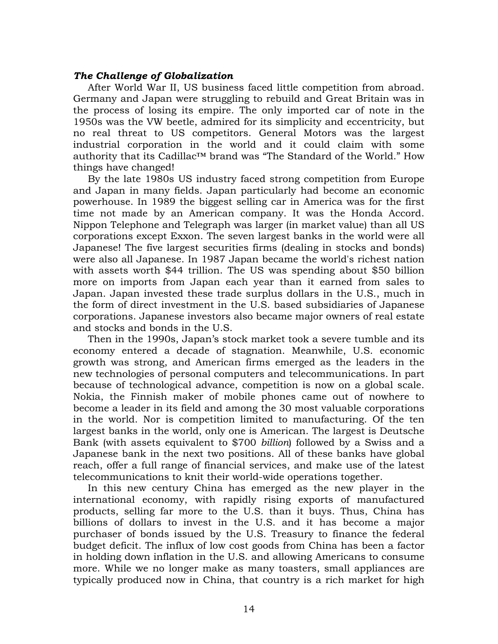#### *The Challenge of Globalization*

After World War II, US business faced little competition from abroad. Germany and Japan were struggling to rebuild and Great Britain was in the process of losing its empire. The only imported car of note in the 1950s was the VW beetle, admired for its simplicity and eccentricity, but no real threat to US competitors. General Motors was the largest industrial corporation in the world and it could claim with some authority that its Cadillac™ brand was "The Standard of the World." How things have changed!

By the late 1980s US industry faced strong competition from Europe and Japan in many fields. Japan particularly had become an economic powerhouse. In 1989 the biggest selling car in America was for the first time not made by an American company. It was the Honda Accord. Nippon Telephone and Telegraph was larger (in market value) than all US corporations except Exxon. The seven largest banks in the world were all Japanese! The five largest securities firms (dealing in stocks and bonds) were also all Japanese. In 1987 Japan became the world's richest nation with assets worth \$44 trillion. The US was spending about \$50 billion more on imports from Japan each year than it earned from sales to Japan. Japan invested these trade surplus dollars in the U.S., much in the form of direct investment in the U.S. based subsidiaries of Japanese corporations. Japanese investors also became major owners of real estate and stocks and bonds in the U.S.

Then in the 1990s, Japan's stock market took a severe tumble and its economy entered a decade of stagnation. Meanwhile, U.S. economic growth was strong, and American firms emerged as the leaders in the new technologies of personal computers and telecommunications. In part because of technological advance, competition is now on a global scale. Nokia, the Finnish maker of mobile phones came out of nowhere to become a leader in its field and among the 30 most valuable corporations in the world. Nor is competition limited to manufacturing. Of the ten largest banks in the world, only one is American. The largest is Deutsche Bank (with assets equivalent to \$700 *billion*) followed by a Swiss and a Japanese bank in the next two positions. All of these banks have global reach, offer a full range of financial services, and make use of the latest telecommunications to knit their world-wide operations together.

In this new century China has emerged as the new player in the international economy, with rapidly rising exports of manufactured products, selling far more to the U.S. than it buys. Thus, China has billions of dollars to invest in the U.S. and it has become a major purchaser of bonds issued by the U.S. Treasury to finance the federal budget deficit. The influx of low cost goods from China has been a factor in holding down inflation in the U.S. and allowing Americans to consume more. While we no longer make as many toasters, small appliances are typically produced now in China, that country is a rich market for high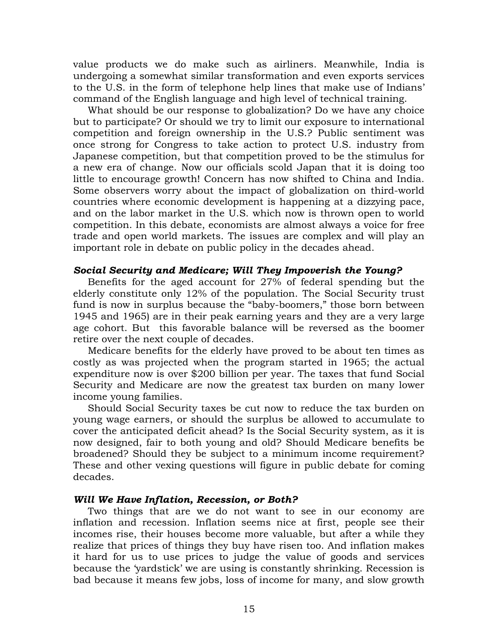value products we do make such as airliners. Meanwhile, India is undergoing a somewhat similar transformation and even exports services to the U.S. in the form of telephone help lines that make use of Indians' command of the English language and high level of technical training.

What should be our response to globalization? Do we have any choice but to participate? Or should we try to limit our exposure to international competition and foreign ownership in the U.S.? Public sentiment was once strong for Congress to take action to protect U.S. industry from Japanese competition, but that competition proved to be the stimulus for a new era of change. Now our officials scold Japan that it is doing too little to encourage growth! Concern has now shifted to China and India. Some observers worry about the impact of globalization on third-world countries where economic development is happening at a dizzying pace, and on the labor market in the U.S. which now is thrown open to world competition. In this debate, economists are almost always a voice for free trade and open world markets. The issues are complex and will play an important role in debate on public policy in the decades ahead.

#### *Social Security and Medicare; Will They Impoverish the Young?*

Benefits for the aged account for 27% of federal spending but the elderly constitute only 12% of the population. The Social Security trust fund is now in surplus because the "baby-boomers," those born between 1945 and 1965) are in their peak earning years and they are a very large age cohort. But this favorable balance will be reversed as the boomer retire over the next couple of decades.

Medicare benefits for the elderly have proved to be about ten times as costly as was projected when the program started in 1965; the actual expenditure now is over \$200 billion per year. The taxes that fund Social Security and Medicare are now the greatest tax burden on many lower income young families.

Should Social Security taxes be cut now to reduce the tax burden on young wage earners, or should the surplus be allowed to accumulate to cover the anticipated deficit ahead? Is the Social Security system, as it is now designed, fair to both young and old? Should Medicare benefits be broadened? Should they be subject to a minimum income requirement? These and other vexing questions will figure in public debate for coming decades.

#### *Will We Have Inflation, Recession, or Both?*

Two things that are we do not want to see in our economy are inflation and recession. Inflation seems nice at first, people see their incomes rise, their houses become more valuable, but after a while they realize that prices of things they buy have risen too. And inflation makes it hard for us to use prices to judge the value of goods and services because the 'yardstick' we are using is constantly shrinking. Recession is bad because it means few jobs, loss of income for many, and slow growth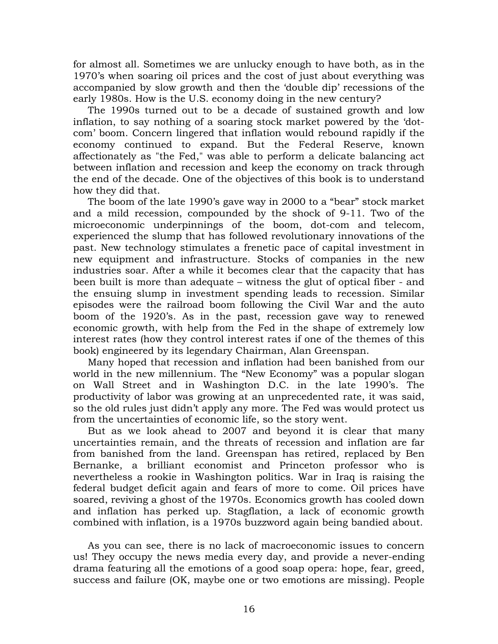for almost all. Sometimes we are unlucky enough to have both, as in the 1970's when soaring oil prices and the cost of just about everything was accompanied by slow growth and then the 'double dip' recessions of the early 1980s. How is the U.S. economy doing in the new century?

The 1990s turned out to be a decade of sustained growth and low inflation, to say nothing of a soaring stock market powered by the 'dotcom' boom. Concern lingered that inflation would rebound rapidly if the economy continued to expand. But the Federal Reserve, known affectionately as "the Fed," was able to perform a delicate balancing act between inflation and recession and keep the economy on track through the end of the decade. One of the objectives of this book is to understand how they did that.

The boom of the late 1990's gave way in 2000 to a "bear" stock market and a mild recession, compounded by the shock of 9-11. Two of the microeconomic underpinnings of the boom, dot-com and telecom, experienced the slump that has followed revolutionary innovations of the past. New technology stimulates a frenetic pace of capital investment in new equipment and infrastructure. Stocks of companies in the new industries soar. After a while it becomes clear that the capacity that has been built is more than adequate – witness the glut of optical fiber - and the ensuing slump in investment spending leads to recession. Similar episodes were the railroad boom following the Civil War and the auto boom of the 1920's. As in the past, recession gave way to renewed economic growth, with help from the Fed in the shape of extremely low interest rates (how they control interest rates if one of the themes of this book) engineered by its legendary Chairman, Alan Greenspan.

Many hoped that recession and inflation had been banished from our world in the new millennium. The "New Economy" was a popular slogan on Wall Street and in Washington D.C. in the late 1990's. The productivity of labor was growing at an unprecedented rate, it was said, so the old rules just didn't apply any more. The Fed was would protect us from the uncertainties of economic life, so the story went.

But as we look ahead to 2007 and beyond it is clear that many uncertainties remain, and the threats of recession and inflation are far from banished from the land. Greenspan has retired, replaced by Ben Bernanke, a brilliant economist and Princeton professor who is nevertheless a rookie in Washington politics. War in Iraq is raising the federal budget deficit again and fears of more to come. Oil prices have soared, reviving a ghost of the 1970s. Economics growth has cooled down and inflation has perked up. Stagflation, a lack of economic growth combined with inflation, is a 1970s buzzword again being bandied about.

As you can see, there is no lack of macroeconomic issues to concern us! They occupy the news media every day, and provide a never-ending drama featuring all the emotions of a good soap opera: hope, fear, greed, success and failure (OK, maybe one or two emotions are missing). People